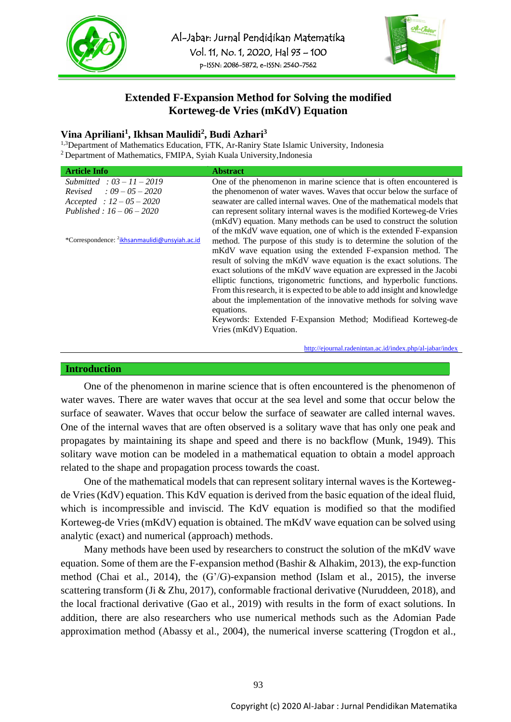



# **Extended F-Expansion Method for Solving the modified Korteweg-de Vries (mKdV) Equation**

## **Vina Apriliani<sup>1</sup> , Ikhsan Maulidi<sup>2</sup> , Budi Azhari<sup>3</sup>**

<sup>1,3</sup>Department of Mathematics Education, FTK, Ar-Raniry State Islamic University, Indonesia <sup>2</sup> Department of Mathematics, FMIPA, Syiah Kuala University,Indonesia

| <b>Article Info</b>                                       | <b>Abstract</b>                                                            |
|-----------------------------------------------------------|----------------------------------------------------------------------------|
| Submitted : $03 - 11 - 2019$                              | One of the phenomenon in marine science that is often encountered is       |
| <i>Revised</i> : $09 - 05 - 2020$                         | the phenomenon of water waves. Waves that occur below the surface of       |
| $Accepted : 12-05-2020$                                   | seawater are called internal waves. One of the mathematical models that    |
| Published: $16 - 06 - 2020$                               | can represent solitary internal waves is the modified Korteweg-de Vries    |
|                                                           | (mKdV) equation. Many methods can be used to construct the solution        |
|                                                           | of the mKdV wave equation, one of which is the extended F-expansion        |
| *Correspondence: <sup>2</sup> ikhsanmaulidi@unsyiah.ac.id | method. The purpose of this study is to determine the solution of the      |
|                                                           | mKdV wave equation using the extended F-expansion method. The              |
|                                                           | result of solving the mKdV wave equation is the exact solutions. The       |
|                                                           | exact solutions of the mKdV wave equation are expressed in the Jacobi      |
|                                                           | elliptic functions, trigonometric functions, and hyperbolic functions.     |
|                                                           | From this research, it is expected to be able to add insight and knowledge |
|                                                           | about the implementation of the innovative methods for solving wave        |
|                                                           | equations.                                                                 |
|                                                           | Keywords: Extended F-Expansion Method; Modifiead Korteweg-de               |
|                                                           | Vries (mKdV) Equation.                                                     |
|                                                           |                                                                            |

<http://ejournal.radenintan.ac.id/index.php/al-jabar/index>

### **Introduction**

One of the phenomenon in marine science that is often encountered is the phenomenon of water waves. There are water waves that occur at the sea level and some that occur below the surface of seawater. Waves that occur below the surface of seawater are called internal waves. One of the internal waves that are often observed is a solitary wave that has only one peak and propagates by maintaining its shape and speed and there is no backflow (Munk, 1949). This solitary wave motion can be modeled in a mathematical equation to obtain a model approach related to the shape and propagation process towards the coast.

One of the mathematical models that can represent solitary internal waves is the Kortewegde Vries (KdV) equation. This KdV equation is derived from the basic equation of the ideal fluid, which is incompressible and inviscid. The KdV equation is modified so that the modified Korteweg-de Vries (mKdV) equation is obtained. The mKdV wave equation can be solved using analytic (exact) and numerical (approach) methods.

Many methods have been used by researchers to construct the solution of the mKdV wave equation. Some of them are the F-expansion method (Bashir & Alhakim, 2013), the exp-function method (Chai et al., 2014), the (G'/G)-expansion method (Islam et al., 2015), the inverse scattering transform (Ji & Zhu, 2017), conformable fractional derivative (Nuruddeen, 2018), and the local fractional derivative (Gao et al., 2019) with results in the form of exact solutions. In addition, there are also researchers who use numerical methods such as the Adomian Pade approximation method (Abassy et al., 2004), the numerical inverse scattering (Trogdon et al.,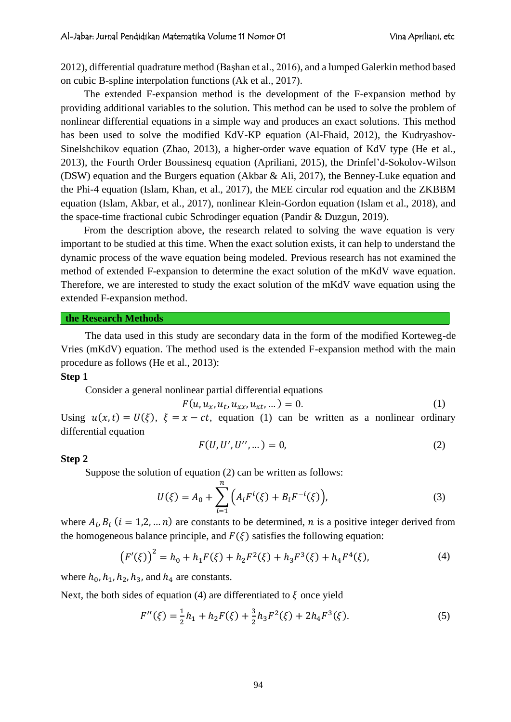2012), differential quadrature method (Başhan et al., 2016), and a lumped Galerkin method based on cubic B-spline interpolation functions (Ak et al., 2017).

The extended F-expansion method is the development of the F-expansion method by providing additional variables to the solution. This method can be used to solve the problem of nonlinear differential equations in a simple way and produces an exact solutions. This method has been used to solve the modified KdV-KP equation (Al-Fhaid, 2012), the Kudryashov-Sinelshchikov equation (Zhao, 2013), a higher-order wave equation of KdV type (He et al., 2013), the Fourth Order Boussinesq equation (Apriliani, 2015), the Drinfel'd-Sokolov-Wilson (DSW) equation and the Burgers equation (Akbar & Ali, 2017), the Benney-Luke equation and the Phi-4 equation (Islam, Khan, et al., 2017), the MEE circular rod equation and the ZKBBM equation (Islam, Akbar, et al., 2017), nonlinear Klein-Gordon equation (Islam et al., 2018), and the space-time fractional cubic Schrodinger equation (Pandir & Duzgun, 2019).

From the description above, the research related to solving the wave equation is very important to be studied at this time. When the exact solution exists, it can help to understand the dynamic process of the wave equation being modeled. Previous research has not examined the method of extended F-expansion to determine the exact solution of the mKdV wave equation. Therefore, we are interested to study the exact solution of the mKdV wave equation using the extended F-expansion method.

## **the Research Methods**

The data used in this study are secondary data in the form of the modified Korteweg-de Vries (mKdV) equation. The method used is the extended F-expansion method with the main procedure as follows (He et al., 2013):

#### **Step 1**

Consider a general nonlinear partial differential equations

 $\boldsymbol{F}$ 

$$
(u, u_x, u_t, u_{xx}, u_{xt}, \dots) = 0.
$$
 (1)

Using  $u(x,t) = U(\xi)$ ,  $\xi = x - ct$ , equation (1) can be written as a nonlinear ordinary differential equation

$$
F(U, U', U'', \dots) = 0,
$$
\n(2)

#### **Step 2**

Suppose the solution of equation (2) can be written as follows:

$$
U(\xi) = A_0 + \sum_{i=1}^{n} \left( A_i F^{i}(\xi) + B_i F^{-i}(\xi) \right),
$$
 (3)

where  $A_i, B_i$  ( $i = 1, 2, ... n$ ) are constants to be determined, *n* is a positive integer derived from the homogeneous balance principle, and  $F(\xi)$  satisfies the following equation:

$$
(F'(\xi))^2 = h_0 + h_1 F(\xi) + h_2 F^2(\xi) + h_3 F^3(\xi) + h_4 F^4(\xi),
$$
\n(4)

where  $h_0$ ,  $h_1$ ,  $h_2$ ,  $h_3$ , and  $h_4$  are constants.

Next, the both sides of equation (4) are differentiated to  $\xi$  once yield

$$
F''(\xi) = \frac{1}{2}h_1 + h_2F(\xi) + \frac{3}{2}h_3F^2(\xi) + 2h_4F^3(\xi).
$$
 (5)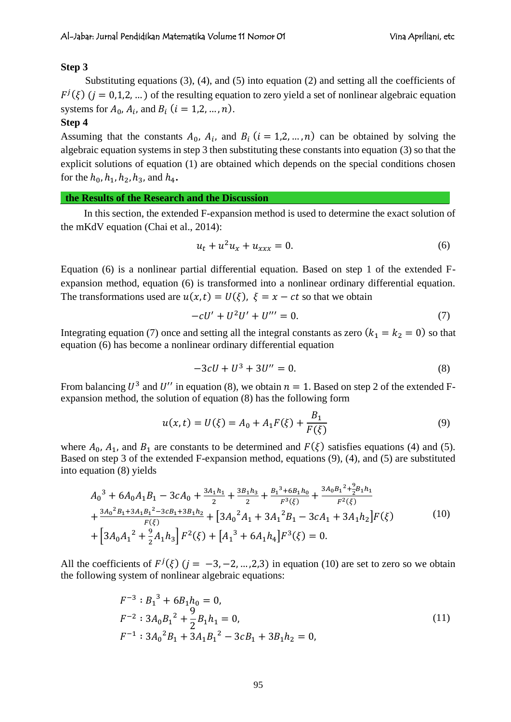## **Step 3**

Substituting equations (3), (4), and (5) into equation (2) and setting all the coefficients of  $F^{j}(\xi)$  (j = 0,1,2, ...) of the resulting equation to zero yield a set of nonlinear algebraic equation systems for  $A_0$ ,  $A_i$ , and  $B_i$   $(i = 1, 2, ..., n)$ .

## **Step 4**

Assuming that the constants  $A_0$ ,  $A_i$ , and  $B_i$  ( $i = 1, 2, ..., n$ ) can be obtained by solving the algebraic equation systems in step 3 then substituting these constants into equation (3) so that the explicit solutions of equation (1) are obtained which depends on the special conditions chosen for the  $h_0$ ,  $h_1$ ,  $h_2$ ,  $h_3$ , and  $h_4$ .

#### **the Results of the Research and the Discussion**

In this section, the extended F-expansion method is used to determine the exact solution of the mKdV equation (Chai et al., 2014):

$$
u_t + u^2 u_x + u_{xxx} = 0.
$$
 (6)

Equation (6) is a nonlinear partial differential equation. Based on step 1 of the extended Fexpansion method, equation (6) is transformed into a nonlinear ordinary differential equation. The transformations used are  $u(x,t) = U(\xi)$ ,  $\xi = x - ct$  so that we obtain

$$
-cU' + U^2U' + U''' = 0.
$$
 (7)

Integrating equation (7) once and setting all the integral constants as zero  $(k_1 = k_2 = 0)$  so that equation (6) has become a nonlinear ordinary differential equation

$$
-3cU + U^3 + 3U'' = 0.
$$
 (8)

From balancing  $U^3$  and  $U''$  in equation (8), we obtain  $n = 1$ . Based on step 2 of the extended Fexpansion method, the solution of equation (8) has the following form

$$
u(x,t) = U(\xi) = A_0 + A_1 F(\xi) + \frac{B_1}{F(\xi)}
$$
\n(9)

where  $A_0$ ,  $A_1$ , and  $B_1$  are constants to be determined and  $F(\xi)$  satisfies equations (4) and (5). Based on step 3 of the extended F-expansion method, equations (9), (4), and (5) are substituted into equation (8) yields

$$
A_0^3 + 6A_0A_1B_1 - 3cA_0 + \frac{3A_1h_1}{2} + \frac{3B_1h_3}{2} + \frac{B_1^3 + 6B_1h_0}{F^3(\xi)} + \frac{3A_0B_1^2 + \frac{9}{2}B_1h_1}{F^2(\xi)}
$$
  
+ 
$$
\frac{3A_0^2B_1 + 3A_1B_1^2 - 3cB_1 + 3B_1h_2}{F(\xi)} + [3A_0^2A_1 + 3A_1^2B_1 - 3cA_1 + 3A_1h_2]F(\xi)
$$
  
+ 
$$
[3A_0A_1^2 + \frac{9}{2}A_1h_3]F^2(\xi) + [A_1^3 + 6A_1h_4]F^3(\xi) = 0.
$$
 (10)

All the coefficients of  $F^{j}(\xi)$   $(j = -3, -2, ..., 2, 3)$  in equation (10) are set to zero so we obtain the following system of nonlinear algebraic equations:

$$
F^{-3}: B_1^3 + 6B_1h_0 = 0,
$$
  
\n
$$
F^{-2}: 3A_0B_1^2 + \frac{9}{2}B_1h_1 = 0,
$$
  
\n
$$
F^{-1}: 3A_0^2B_1 + 3A_1B_1^2 - 3cB_1 + 3B_1h_2 = 0,
$$
\n(11)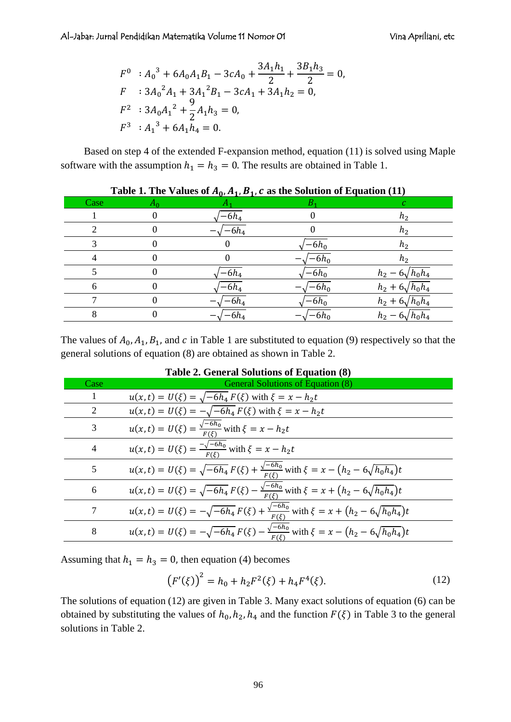$$
F^{0}: A_{0}^{3} + 6A_{0}A_{1}B_{1} - 3cA_{0} + \frac{3A_{1}h_{1}}{2} + \frac{3B_{1}h_{3}}{2} = 0,
$$
  
\n
$$
F: 3A_{0}^{2}A_{1} + 3A_{1}^{2}B_{1} - 3cA_{1} + 3A_{1}h_{2} = 0,
$$
  
\n
$$
F^{2}: 3A_{0}A_{1}^{2} + \frac{9}{2}A_{1}h_{3} = 0,
$$
  
\n
$$
F^{3}: A_{1}^{3} + 6A_{1}h_{4} = 0.
$$

Based on step 4 of the extended F-expansion method, equation (11) is solved using Maple software with the assumption  $h_1 = h_3 = 0$ . The results are obtained in Table 1.

|      |       | rable is life values of $H_0(H_1, H_2)$ c as the solution of Equation (11) |         |                         |
|------|-------|----------------------------------------------------------------------------|---------|-------------------------|
| Case | $A_0$ |                                                                            |         |                         |
|      |       | -6 $h_4$                                                                   |         | $h_2$                   |
|      |       | $-6h_4$                                                                    |         | $h_2$                   |
|      |       |                                                                            | $-6h_0$ | $h_2$                   |
|      |       |                                                                            | $-6h_0$ | $h_2$                   |
|      |       | $-6h_4$                                                                    | $-6h_0$ | $h_2 - 6\sqrt{h_0 h_4}$ |
|      |       | -6 $h_4$                                                                   | $-6h_0$ | $h_2 + 6\sqrt{h_0 h_4}$ |
|      |       | $-6h_4$                                                                    | $-6h_0$ | $h_2 + 6\sqrt{h_0 h_4}$ |
|      |       | $-6h_4$                                                                    | $-6h_0$ | $h_2 - 6\sqrt{h_0 h_4}$ |

|  | Table 1. The Values of $A_0$ , $A_1$ , $B_1$ , c as the Solution of Equation (11) |  |  |  |  |  |  |  |
|--|-----------------------------------------------------------------------------------|--|--|--|--|--|--|--|
|--|-----------------------------------------------------------------------------------|--|--|--|--|--|--|--|

The values of  $A_0$ ,  $A_1$ ,  $B_1$ , and  $c$  in Table 1 are substituted to equation (9) respectively so that the general solutions of equation (8) are obtained as shown in Table 2.

|                | Table 2. General Solutions of Equation (6)                                                                       |
|----------------|------------------------------------------------------------------------------------------------------------------|
| Case           | General Solutions of Equation (8)                                                                                |
|                | $u(x,t) = U(\xi) = \sqrt{-6h_4 F(\xi)}$ with $\xi = x - h_2 t$                                                   |
| 2              | $u(x,t) = U(\xi) = -\sqrt{-6h_4} F(\xi)$ with $\xi = x - h_2 t$                                                  |
| 3              | $u(x,t) = U(\xi) = \frac{\sqrt{-6h_0}}{F(\xi)}$ with $\xi = x - h_2 t$                                           |
| $\overline{4}$ | $u(x,t) = U(\xi) = \frac{-\sqrt{-6h_0}}{F(\xi)}$ with $\xi = x - h_2 t$                                          |
| 5              | $u(x,t) = U(\xi) = \sqrt{-6h_4} F(\xi) + \frac{\sqrt{-6h_0}}{F(\xi)}$ with $\xi = x - (h_2 - 6\sqrt{h_0h_4})t$   |
| 6              | $u(x,t) = U(\xi) = \sqrt{-6h_4} F(\xi) - \frac{\sqrt{-6h_0}}{F(\xi)}$ with $\xi = x + (h_2 - 6\sqrt{h_0h_4})t$   |
|                | $u(x,t) = U(\xi) = -\sqrt{-6h_4} F(\xi) + \frac{\sqrt{-6h_0}}{F(\xi)}$ with $\xi = x + (h_2 - 6\sqrt{h_0h_4})t$  |
| 8              | $u(x,t) = U(\xi) = -\sqrt{-6h_4} F(\xi) - \frac{\sqrt{-6h_0}}{F(\xi)}$ with $\xi = x - (h_2 - 6\sqrt{h_0 h_4})t$ |

|  | <b>Table 2. General Solutions of Equation (8)</b> |  |  |
|--|---------------------------------------------------|--|--|
|  |                                                   |  |  |

Assuming that  $h_1 = h_3 = 0$ , then equation (4) becomes

$$
(F'(\xi))^2 = h_0 + h_2 F^2(\xi) + h_4 F^4(\xi).
$$
 (12)

The solutions of equation (12) are given in Table 3. Many exact solutions of equation (6) can be obtained by substituting the values of  $h_0$ ,  $h_2$ ,  $h_4$  and the function  $F(\xi)$  in Table 3 to the general solutions in Table 2.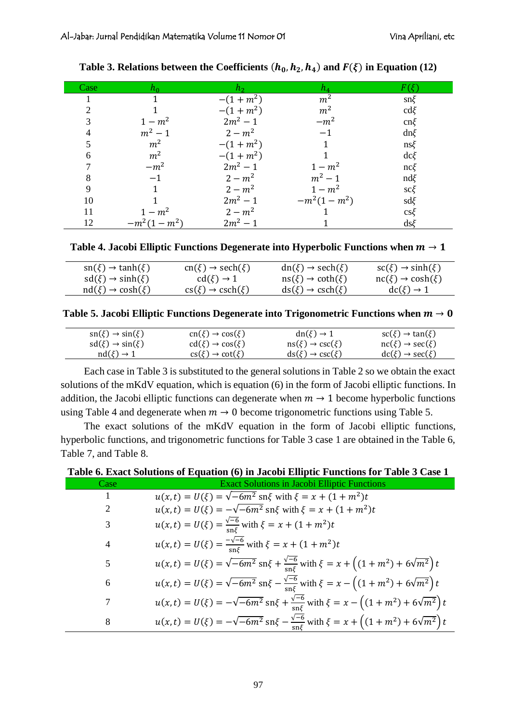| Case | ho             | $h_{2}$    | $h_4$          |                  |
|------|----------------|------------|----------------|------------------|
|      |                | $-(1+m^2)$ | m <sup>2</sup> | $\text{sn}\xi$   |
|      |                | $-(1+m^2)$ | m <sup>2</sup> | $\text{cd}\xi$   |
|      | $1 - m^2$      | $2m^2 - 1$ | $-m^2$         | $cn\xi$          |
|      | $m^2 - 1$      | $2 - m^2$  | $-1$           | $dn\xi$          |
|      | m <sup>2</sup> | $-(1+m^2)$ |                | $\text{ns}\xi$   |
| 6    | m <sup>2</sup> | $-(1+m^2)$ |                | $dc\xi$          |
|      | $-m^2$         | $2m^2 - 1$ | $1 - m^2$      | $nc\xi$          |
| 8    | $-1$           | $2 - m^2$  | $m^2 - 1$      | $\mathrm{nd}\xi$ |
| 9    |                | $2 - m^2$  | $1-m^2$        | $\text{sc}\xi$   |
| 10   |                | $2m^2 - 1$ | $-m^2(1-m^2)$  | $sd\xi$          |
| 11   | $1 - m^2$      | $2 - m^2$  |                | $cs\xi$          |
| 12   | $-m^2(1-m^2)$  | $2m^2 - 1$ |                | $ds\xi$          |

Table 3. Relations between the Coefficients  $(h_0, h_2, h_4)$  and  $F(\xi)$  in Equation (12)

Table 4. Jacobi Elliptic Functions Degenerate into Hyperbolic Functions when  $m \rightarrow 1$ 

| $\operatorname{sn}(\xi) \to \tanh(\xi)$ | $cn(\xi) \rightarrow sech(\xi)$               | $dn(\xi) \rightarrow sech(\xi)$         | $\operatorname{sc}(\xi) \to \sinh(\xi)$ |
|-----------------------------------------|-----------------------------------------------|-----------------------------------------|-----------------------------------------|
| $sd(\xi) \rightarrow sinh(\xi)$         | $cd(\xi) \rightarrow 1$                       | $\operatorname{ns}(\xi) \to \coth(\xi)$ | $nc(\xi) \rightarrow cosh(\xi)$         |
| $\mathrm{nd}(\xi) \to \cosh(\xi)$       | $\text{cs}(\xi) \rightarrow \text{csch}(\xi)$ | $ds(\xi) \rightarrow csch(\xi)$         | $\text{dc}(\xi) \rightarrow 1$          |

**Table 5. Jacobi Elliptic Functions Degenerate into Trigonometric Functions when**  $m \rightarrow 0$ 

| $\operatorname{sn}(\xi) \to \operatorname{sin}(\xi)$ | $cn(\xi) \rightarrow cos(\xi)$               | $dn(\xi) \rightarrow 1$                              | $\operatorname{sc}(\xi) \to \tan(\xi)$               |
|------------------------------------------------------|----------------------------------------------|------------------------------------------------------|------------------------------------------------------|
| $sd(\xi) \rightarrow sin(\xi)$                       | $\text{cd}(\xi) \rightarrow \text{cos}(\xi)$ | $\operatorname{ns}(\xi) \to \operatorname{csc}(\xi)$ | $\operatorname{nc}(\xi) \to \operatorname{sec}(\xi)$ |
| $\mathrm{nd}(\xi) \to 1$                             | $\text{cs}(\xi) \rightarrow \text{cot}(\xi)$ | $ds(\xi) \rightarrow csc(\xi)$                       | $dc(\xi) \rightarrow sec(\xi)$                       |

Each case in Table 3 is substituted to the general solutions in Table 2 so we obtain the exact solutions of the mKdV equation, which is equation (6) in the form of Jacobi elliptic functions. In addition, the Jacobi elliptic functions can degenerate when  $m \to 1$  become hyperbolic functions using Table 4 and degenerate when  $m \to 0$  become trigonometric functions using Table 5.

The exact solutions of the mKdV equation in the form of Jacobi elliptic functions, hyperbolic functions, and trigonometric functions for Table 3 case 1 are obtained in the Table 6, Table 7, and Table 8.

| Table 6. Exact Solutions of Equation (6) in Jacobi Elliptic Functions for Table 3 Case 1 |  |  |  |
|------------------------------------------------------------------------------------------|--|--|--|
|------------------------------------------------------------------------------------------|--|--|--|

| Case | <b>Exact Solutions in Jacobi Elliptic Functions</b>                                                                                                   |
|------|-------------------------------------------------------------------------------------------------------------------------------------------------------|
| 1    | $u(x,t) = U(\xi) = \sqrt{-6m^2} \text{ sn } \xi$ with $\xi = x + (1 + m^2)t$                                                                          |
| 2    | $u(x,t) = U(\xi) = -\sqrt{-6m^2} \text{ sn } \xi$ with $\xi = x + (1 + m^2)t$                                                                         |
| 3    | $u(x,t) = U(\xi) = \frac{\sqrt{-6}}{\sin \xi}$ with $\xi = x + (1 + m^2)t$                                                                            |
| 4    | $u(x,t) = U(\xi) = \frac{-\sqrt{-6}}{\text{sn} \xi}$ with $\xi = x + (1 + m^2)t$                                                                      |
| 5    | $u(x,t) = U(\xi) = \sqrt{-6m^2} \text{ sn } \xi + \frac{\sqrt{-6}}{\text{sn } \xi} \text{ with } \xi = x + \left( (1 + m^2) + 6\sqrt{m^2} \right) t$  |
| 6    | $u(x,t) = U(\xi) = \sqrt{-6m^2} \text{ sn } \xi - \frac{\sqrt{-6}}{\text{sn } \xi} \text{ with } \xi = x - \left( (1 + m^2) + 6\sqrt{m^2} \right) t$  |
| 7    | $u(x,t) = U(\xi) = -\sqrt{-6m^2} \sin\xi + \frac{\sqrt{-6}}{\sin\xi}$ with $\xi = x - \left((1+m^2) + 6\sqrt{m^2}\right)t$                            |
| 8    | $u(x,t) = U(\xi) = -\sqrt{-6m^2} \text{ sn } \xi - \frac{\sqrt{-6}}{\text{sn } \xi} \text{ with } \xi = x + \left( (1 + m^2) + 6\sqrt{m^2} \right) t$ |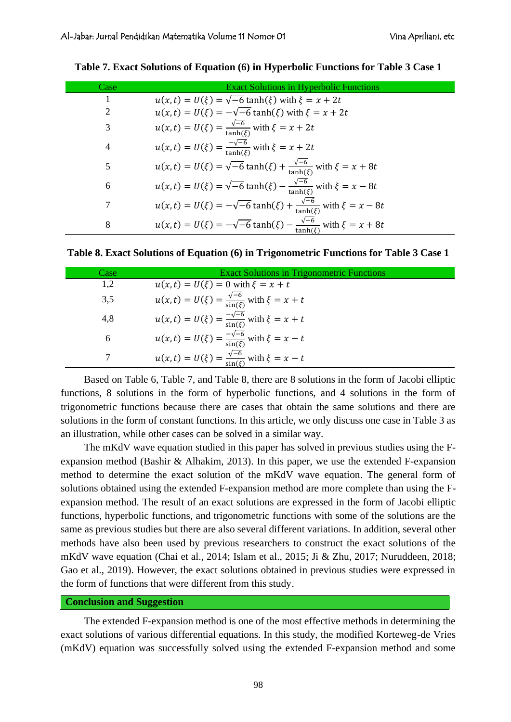| Case           | <b>Exact Solutions in Hyperbolic Functions</b>                                                       |
|----------------|------------------------------------------------------------------------------------------------------|
| 1              | $u(x, t) = U(\xi) = \sqrt{-6} \tanh(\xi)$ with $\xi = x + 2t$                                        |
| 2              | $u(x,t) = U(\xi) = -\sqrt{-6} \tanh(\xi)$ with $\xi = x + 2t$                                        |
| 3              | $u(x,t) = U(\xi) = \frac{\sqrt{-6}}{\tanh(\xi)}$ with $\xi = x + 2t$                                 |
| $\overline{4}$ | $u(x, t) = U(\xi) = \frac{-\sqrt{-6}}{\tanh(\xi)}$ with $\xi = x + 2t$                               |
| 5              | $u(x, t) = U(\xi) = \sqrt{-6} \tanh(\xi) + \frac{\sqrt{-6}}{\tanh(\xi)} \text{ with } \xi = x + 8t$  |
| 6              | $u(x,t) = U(\xi) = \sqrt{-6} \tanh(\xi) - \frac{\sqrt{-6}}{\tanh(\xi)}$ with $\xi = x - 8t$          |
| 7              | $u(x, t) = U(\xi) = -\sqrt{-6} \tanh(\xi) + \frac{\sqrt{-6}}{\tanh(\xi)} \text{ with } \xi = x - 8t$ |
| 8              | $u(x, t) = U(\xi) = -\sqrt{-6} \tanh(\xi) - \frac{\sqrt{-6}}{\tanh(\xi)} \text{ with } \xi = x + 8t$ |

**Table 7. Exact Solutions of Equation (6) in Hyperbolic Functions for Table 3 Case 1**

|  | Table 8. Exact Solutions of Equation (6) in Trigonometric Functions for Table 3 Case 1 |  |  |
|--|----------------------------------------------------------------------------------------|--|--|
|  |                                                                                        |  |  |

| Case | <b>Exact Solutions in Trigonometric Functions</b>                    |
|------|----------------------------------------------------------------------|
| 1,2  | $u(x, t) = U(\xi) = 0$ with $\xi = x + t$                            |
| 3,5  | $u(x,t) = U(\xi) = \frac{\sqrt{-6}}{\sin(\xi)}$ with $\xi = x + t$   |
| 4,8  | $u(x, t) = U(\xi) = \frac{-\sqrt{-6}}{\sin(\xi)}$ with $\xi = x + t$ |
| 6    | $u(x,t) = U(\xi) = \frac{-\sqrt{-6}}{\sin(\xi)}$ with $\xi = x - t$  |
| 7    | $u(x, t) = U(\xi) = \frac{\sqrt{-6}}{\sin(\xi)}$ with $\xi = x - t$  |

Based on Table 6, Table 7, and Table 8, there are 8 solutions in the form of Jacobi elliptic functions, 8 solutions in the form of hyperbolic functions, and 4 solutions in the form of trigonometric functions because there are cases that obtain the same solutions and there are solutions in the form of constant functions. In this article, we only discuss one case in Table 3 as an illustration, while other cases can be solved in a similar way.

The mKdV wave equation studied in this paper has solved in previous studies using the Fexpansion method (Bashir & Alhakim, 2013). In this paper, we use the extended F-expansion method to determine the exact solution of the mKdV wave equation. The general form of solutions obtained using the extended F-expansion method are more complete than using the Fexpansion method. The result of an exact solutions are expressed in the form of Jacobi elliptic functions, hyperbolic functions, and trigonometric functions with some of the solutions are the same as previous studies but there are also several different variations. In addition, several other methods have also been used by previous researchers to construct the exact solutions of the mKdV wave equation (Chai et al., 2014; Islam et al., 2015; Ji & Zhu, 2017; Nuruddeen, 2018; Gao et al., 2019). However, the exact solutions obtained in previous studies were expressed in the form of functions that were different from this study.

## **Conclusion and Suggestion**

The extended F-expansion method is one of the most effective methods in determining the exact solutions of various differential equations. In this study, the modified Korteweg-de Vries (mKdV) equation was successfully solved using the extended F-expansion method and some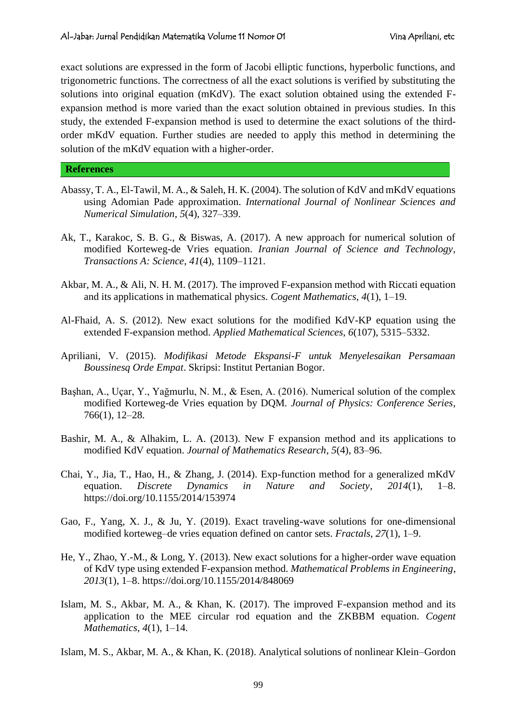exact solutions are expressed in the form of Jacobi elliptic functions, hyperbolic functions, and trigonometric functions. The correctness of all the exact solutions is verified by substituting the solutions into original equation (mKdV). The exact solution obtained using the extended Fexpansion method is more varied than the exact solution obtained in previous studies. In this study, the extended F-expansion method is used to determine the exact solutions of the thirdorder mKdV equation. Further studies are needed to apply this method in determining the solution of the mKdV equation with a higher-order.

#### **References**

- Abassy, T. A., El-Tawil, M. A., & Saleh, H. K. (2004). The solution of KdV and mKdV equations using Adomian Pade approximation. *International Journal of Nonlinear Sciences and Numerical Simulation*, *5*(4), 327–339.
- Ak, T., Karakoc, S. B. G., & Biswas, A. (2017). A new approach for numerical solution of modified Korteweg-de Vries equation. *Iranian Journal of Science and Technology, Transactions A: Science*, *41*(4), 1109–1121.
- Akbar, M. A., & Ali, N. H. M. (2017). The improved F-expansion method with Riccati equation and its applications in mathematical physics. *Cogent Mathematics*, *4*(1), 1–19.
- Al-Fhaid, A. S. (2012). New exact solutions for the modified KdV-KP equation using the extended F-expansion method. *Applied Mathematical Sciences*, *6*(107), 5315–5332.
- Apriliani, V. (2015). *Modifikasi Metode Ekspansi-F untuk Menyelesaikan Persamaan Boussinesq Orde Empat*. Skripsi: Institut Pertanian Bogor.
- Başhan, A., Uçar, Y., Yağmurlu, N. M., & Esen, A. (2016). Numerical solution of the complex modified Korteweg-de Vries equation by DQM. *Journal of Physics: Conference Series*, 766(1), 12–28.
- Bashir, M. A., & Alhakim, L. A. (2013). New F expansion method and its applications to modified KdV equation. *Journal of Mathematics Research*, *5*(4), 83–96.
- Chai, Y., Jia, T., Hao, H., & Zhang, J. (2014). Exp-function method for a generalized mKdV equation. *Discrete Dynamics in Nature and Society*, *2014*(1), 1–8. https://doi.org/10.1155/2014/153974
- Gao, F., Yang, X. J., & Ju, Y. (2019). Exact traveling-wave solutions for one-dimensional modified korteweg–de vries equation defined on cantor sets. *Fractals*, *27*(1), 1–9.
- He, Y., Zhao, Y.-M., & Long, Y. (2013). New exact solutions for a higher-order wave equation of KdV type using extended F-expansion method. *Mathematical Problems in Engineering*, *2013*(1), 1–8. https://doi.org/10.1155/2014/848069
- Islam, M. S., Akbar, M. A., & Khan, K. (2017). The improved F-expansion method and its application to the MEE circular rod equation and the ZKBBM equation. *Cogent Mathematics*, *4*(1), 1–14.
- Islam, M. S., Akbar, M. A., & Khan, K. (2018). Analytical solutions of nonlinear Klein–Gordon